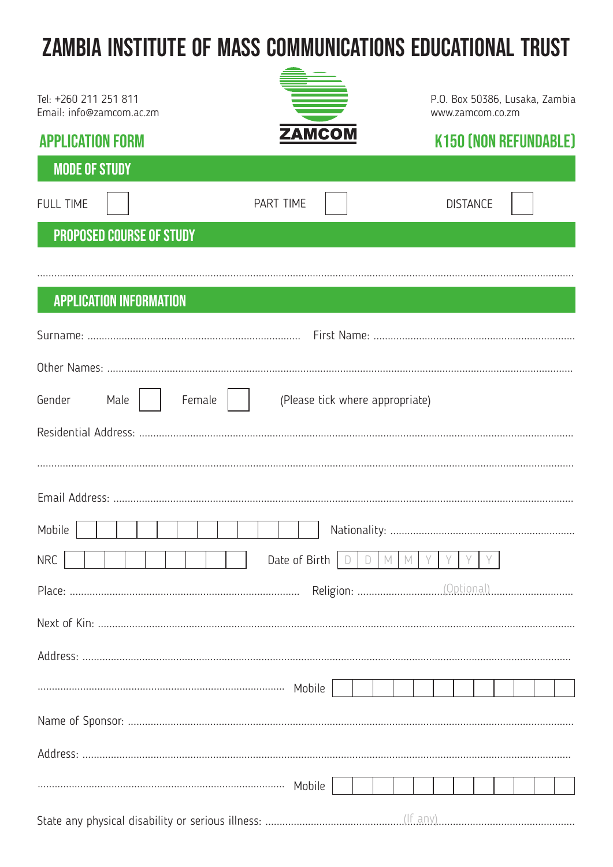## ZAMBIA INSTITUTE OF MASS COMMUNICATIONS EDUCATIONAL TRUST

| Tel: +260 211 251 811<br>Email: info@zamcom.ac.zm |                                 | P.O. Box 50386, Lusaka, Zambia<br>www.zamcom.co.zm |  |  |  |  |  |  |  |
|---------------------------------------------------|---------------------------------|----------------------------------------------------|--|--|--|--|--|--|--|
| <b>APPLICATION FORM</b>                           | <b>ZAMCOM</b>                   | <b>K150 (NON REFUNDABLE)</b>                       |  |  |  |  |  |  |  |
| <b>MODE OF STUDY</b>                              |                                 |                                                    |  |  |  |  |  |  |  |
| <b>FULL TIME</b>                                  | <b>PART TIME</b>                | <b>DISTANCE</b>                                    |  |  |  |  |  |  |  |
| <b>PROPOSED COURSE OF STUDY</b>                   |                                 |                                                    |  |  |  |  |  |  |  |
|                                                   |                                 |                                                    |  |  |  |  |  |  |  |
| <b>APPLICATION INFORMATION</b>                    |                                 |                                                    |  |  |  |  |  |  |  |
|                                                   |                                 |                                                    |  |  |  |  |  |  |  |
|                                                   |                                 |                                                    |  |  |  |  |  |  |  |
| Gender<br>Female<br>Male                          | (Please tick where appropriate) |                                                    |  |  |  |  |  |  |  |
|                                                   |                                 |                                                    |  |  |  |  |  |  |  |
|                                                   |                                 |                                                    |  |  |  |  |  |  |  |
|                                                   |                                 |                                                    |  |  |  |  |  |  |  |
| Mobile<br>Nationality:                            |                                 |                                                    |  |  |  |  |  |  |  |
| <b>NRC</b><br>Date of Birth<br>$M_{\odot}$<br>M   |                                 |                                                    |  |  |  |  |  |  |  |
|                                                   |                                 |                                                    |  |  |  |  |  |  |  |
|                                                   |                                 |                                                    |  |  |  |  |  |  |  |
|                                                   |                                 |                                                    |  |  |  |  |  |  |  |
|                                                   |                                 |                                                    |  |  |  |  |  |  |  |
|                                                   |                                 |                                                    |  |  |  |  |  |  |  |
|                                                   |                                 |                                                    |  |  |  |  |  |  |  |
|                                                   |                                 |                                                    |  |  |  |  |  |  |  |
|                                                   |                                 |                                                    |  |  |  |  |  |  |  |